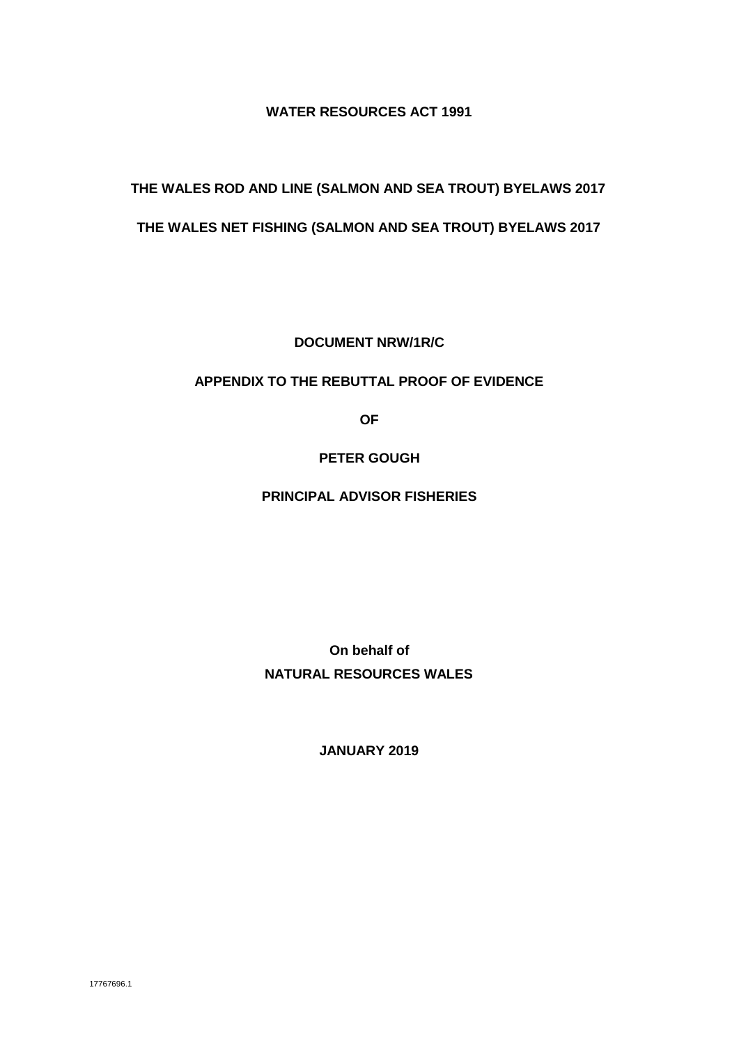### **WATER RESOURCES ACT 1991**

# **THE WALES ROD AND LINE (SALMON AND SEA TROUT) BYELAWS 2017**

# **THE WALES NET FISHING (SALMON AND SEA TROUT) BYELAWS 2017**

**DOCUMENT NRW/1R/C**

### **APPENDIX TO THE REBUTTAL PROOF OF EVIDENCE**

**OF**

# **PETER GOUGH**

### **PRINCIPAL ADVISOR FISHERIES**

**On behalf of NATURAL RESOURCES WALES**

**JANUARY 2019**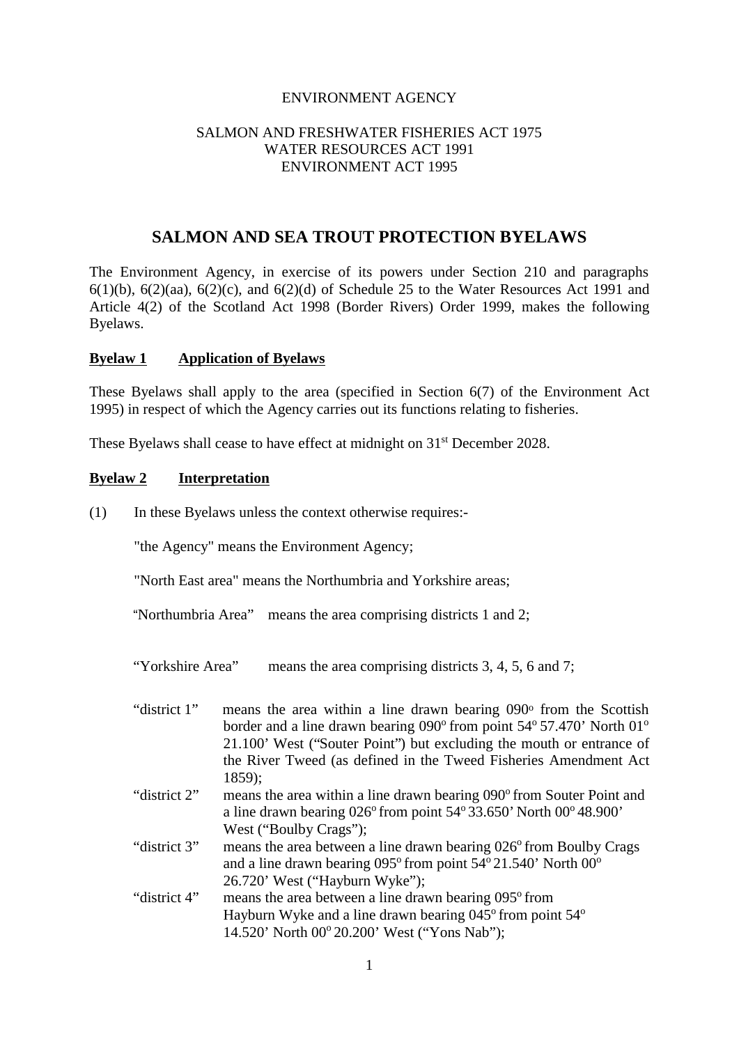#### ENVIRONMENT AGENCY

#### SALMON AND FRESHWATER FISHERIES ACT 1975 WATER RESOURCES ACT 1991 ENVIRONMENT ACT 1995

# **SALMON AND SEA TROUT PROTECTION BYELAWS**

The Environment Agency, in exercise of its powers under Section 210 and paragraphs  $6(1)(b)$ ,  $6(2)(aa)$ ,  $6(2)(c)$ , and  $6(2)(d)$  of Schedule 25 to the Water Resources Act 1991 and Article 4(2) of the Scotland Act 1998 (Border Rivers) Order 1999, makes the following Byelaws.

#### **Byelaw 1 Application of Byelaws**

These Byelaws shall apply to the area (specified in Section 6(7) of the Environment Act 1995) in respect of which the Agency carries out its functions relating to fisheries.

These Byelaws shall cease to have effect at midnight on 31<sup>st</sup> December 2028.

#### **Byelaw 2 Interpretation**

(1) In these Byelaws unless the context otherwise requires:-

"the Agency" means the Environment Agency;

"North East area" means the Northumbria and Yorkshire areas;

"Northumbria Area" means the area comprising districts 1 and 2;

"Yorkshire Area" means the area comprising districts 3, 4, 5, 6 and 7;

"district 1" means the area within a line drawn bearing 090° from the Scottish border and a line drawn bearing 090° from point 54° 57.470' North 01° 21.100' West ("Souter Point") but excluding the mouth or entrance of the River Tweed (as defined in the Tweed Fisheries Amendment Act 1859);

- "district  $2$ " means the area within a line drawn bearing  $090^\circ$  from Souter Point and a line drawn bearing  $026^{\circ}$  from point  $54^{\circ}$  33.650' North  $00^{\circ}$  48.900' West ("Boulby Crags");
- "district  $3$ " means the area between a line drawn bearing  $026^{\circ}$  from Boulby Crags and a line drawn bearing  $0.95^{\circ}$  from point  $54^{\circ}$  21.540' North  $00^{\circ}$ 26.720' West ("Hayburn Wyke");
- "district  $4$ " means the area between a line drawn bearing  $0.95^{\circ}$  from Hayburn Wyke and a line drawn bearing  $045^{\circ}$  from point  $54^{\circ}$ 14.520' North 00<sup>°</sup> 20.200' West ("Yons Nab");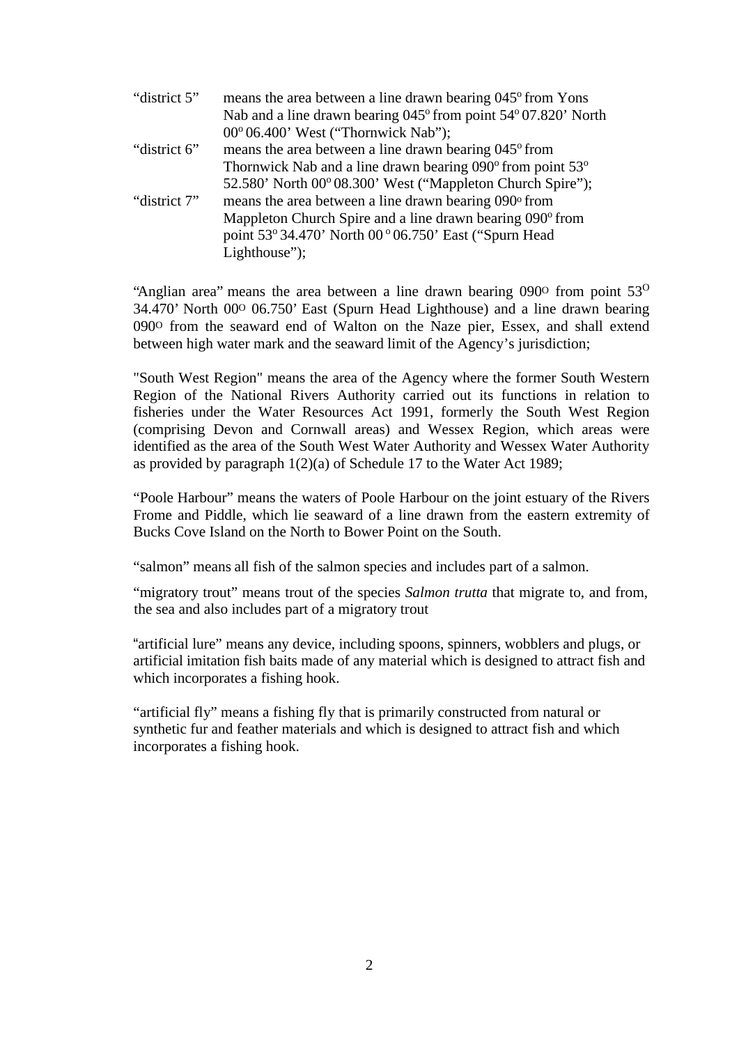| "district 5" | means the area between a line drawn bearing 045° from Yons     |
|--------------|----------------------------------------------------------------|
|              | Nab and a line drawn bearing 045° from point 54° 07.820' North |
|              | $00^{\circ}06.400'$ West ("Thornwick Nab");                    |
| "district 6" | means the area between a line drawn bearing 045° from          |
|              | Thornwick Nab and a line drawn bearing 090° from point 53°     |
|              | 52.580' North 00° 08.300' West ("Mappleton Church Spire");     |
| "district 7" | means the area between a line drawn bearing 090° from          |
|              | Mappleton Church Spire and a line drawn bearing 090° from      |
|              | point 53° 34.470' North 00 ° 06.750' East ("Spurn Head         |
|              | Lighthouse");                                                  |
|              |                                                                |

"Anglian area" means the area between a line drawn bearing  $090^{\circ}$  from point  $53^{\circ}$ 34.470' North 00<sup>o</sup> 06.750' East (Spurn Head Lighthouse) and a line drawn bearing 090<sup>o</sup> from the seaward end of Walton on the Naze pier, Essex, and shall extend between high water mark and the seaward limit of the Agency's jurisdiction;

"South West Region" means the area of the Agency where the former South Western Region of the National Rivers Authority carried out its functions in relation to fisheries under the Water Resources Act 1991, formerly the South West Region (comprising Devon and Cornwall areas) and Wessex Region, which areas were identified as the area of the South West Water Authority and Wessex Water Authority as provided by paragraph 1(2)(a) of Schedule 17 to the Water Act 1989;

"Poole Harbour" means the waters of Poole Harbour on the joint estuary of the Rivers Frome and Piddle, which lie seaward of a line drawn from the eastern extremity of Bucks Cove Island on the North to Bower Point on the South.

"salmon" means all fish of the salmon species and includes part of a salmon.

"migratory trout" means trout of the species *Salmon trutta* that migrate to, and from, the sea and also includes part of a migratory trout

"artificial lure" means any device, including spoons, spinners, wobblers and plugs, or artificial imitation fish baits made of any material which is designed to attract fish and which incorporates a fishing hook.

"artificial fly" means a fishing fly that is primarily constructed from natural or synthetic fur and feather materials and which is designed to attract fish and which incorporates a fishing hook.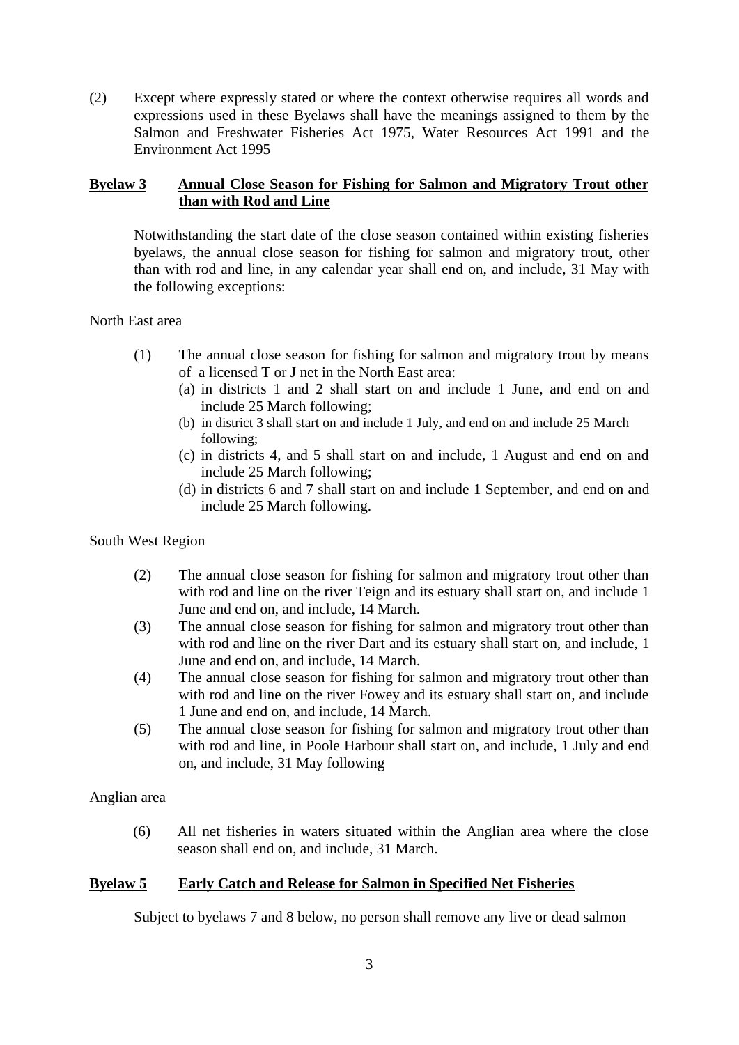(2) Except where expressly stated or where the context otherwise requires all words and expressions used in these Byelaws shall have the meanings assigned to them by the Salmon and Freshwater Fisheries Act 1975, Water Resources Act 1991 and the Environment Act 1995

# **Byelaw 3 Annual Close Season for Fishing for Salmon and Migratory Trout other than with Rod and Line**

Notwithstanding the start date of the close season contained within existing fisheries byelaws, the annual close season for fishing for salmon and migratory trout, other than with rod and line, in any calendar year shall end on, and include, 31 May with the following exceptions:

### North East area

- (1) The annual close season for fishing for salmon and migratory trout by means of a licensed T or J net in the North East area:
	- (a) in districts 1 and 2 shall start on and include 1 June, and end on and include 25 March following;
	- (b) in district 3 shall start on and include 1 July, and end on and include 25 March following;
	- (c) in districts 4, and 5 shall start on and include, 1 August and end on and include 25 March following;
	- (d) in districts 6 and 7 shall start on and include 1 September, and end on and include 25 March following.

# South West Region

- (2) The annual close season for fishing for salmon and migratory trout other than with rod and line on the river Teign and its estuary shall start on, and include 1 June and end on, and include, 14 March.
- (3) The annual close season for fishing for salmon and migratory trout other than with rod and line on the river Dart and its estuary shall start on, and include, 1 June and end on, and include, 14 March.
- (4) The annual close season for fishing for salmon and migratory trout other than with rod and line on the river Fowey and its estuary shall start on, and include 1 June and end on, and include, 14 March.
- (5) The annual close season for fishing for salmon and migratory trout other than with rod and line, in Poole Harbour shall start on, and include, 1 July and end on, and include, 31 May following

Anglian area

(6) All net fisheries in waters situated within the Anglian area where the close season shall end on, and include, 31 March.

# **Byelaw 5 Early Catch and Release for Salmon in Specified Net Fisheries**

Subject to byelaws 7 and 8 below, no person shall remove any live or dead salmon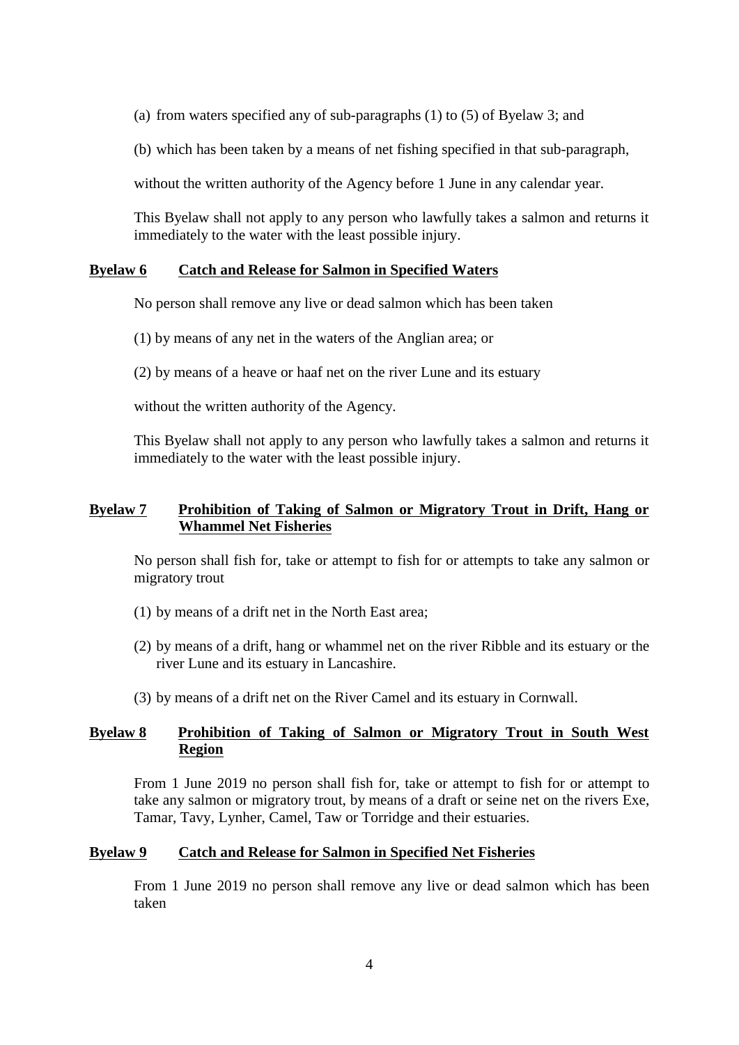(a) from waters specified any of sub-paragraphs (1) to (5) of Byelaw 3; and

(b) which has been taken by a means of net fishing specified in that sub-paragraph,

without the written authority of the Agency before 1 June in any calendar year.

This Byelaw shall not apply to any person who lawfully takes a salmon and returns it immediately to the water with the least possible injury.

### **Byelaw 6 Catch and Release for Salmon in Specified Waters**

No person shall remove any live or dead salmon which has been taken

(1) by means of any net in the waters of the Anglian area; or

(2) by means of a heave or haaf net on the river Lune and its estuary

without the written authority of the Agency.

This Byelaw shall not apply to any person who lawfully takes a salmon and returns it immediately to the water with the least possible injury.

### **Byelaw 7 Prohibition of Taking of Salmon or Migratory Trout in Drift, Hang or Whammel Net Fisheries**

No person shall fish for, take or attempt to fish for or attempts to take any salmon or migratory trout

- (1) by means of a drift net in the North East area;
- (2) by means of a drift, hang or whammel net on the river Ribble and its estuary or the river Lune and its estuary in Lancashire.
- (3) by means of a drift net on the River Camel and its estuary in Cornwall.

### **Byelaw 8 Prohibition of Taking of Salmon or Migratory Trout in South West Region**

From 1 June 2019 no person shall fish for, take or attempt to fish for or attempt to take any salmon or migratory trout, by means of a draft or seine net on the rivers Exe, Tamar, Tavy, Lynher, Camel, Taw or Torridge and their estuaries.

#### **Byelaw 9 Catch and Release for Salmon in Specified Net Fisheries**

From 1 June 2019 no person shall remove any live or dead salmon which has been taken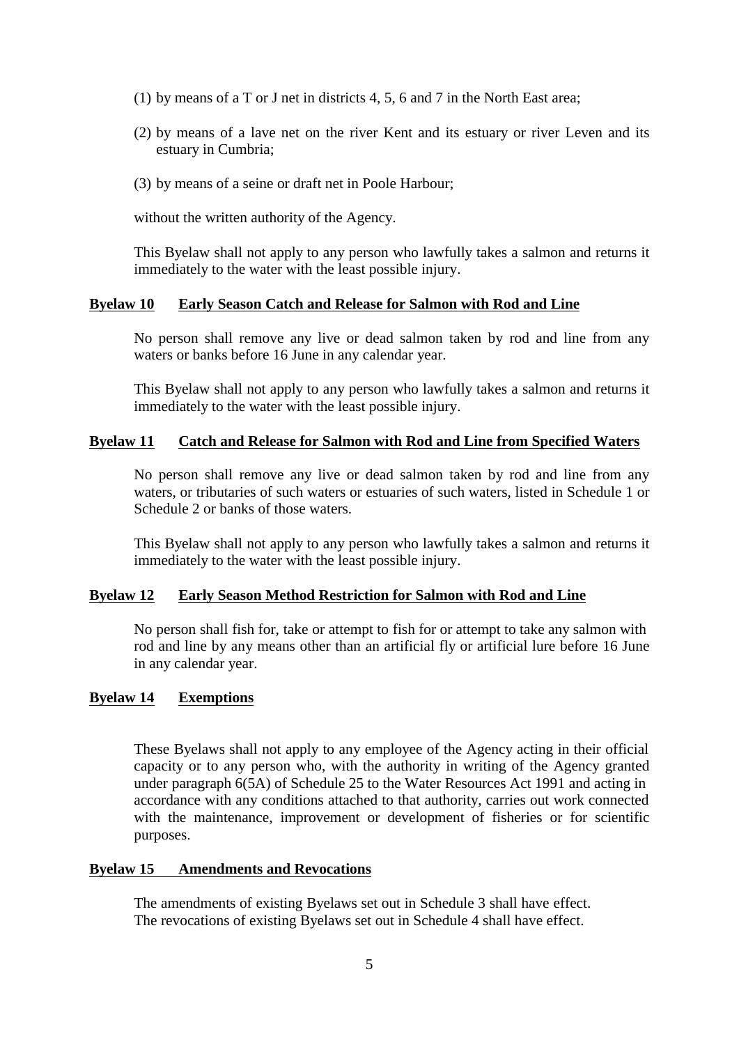- (1) by means of a T or J net in districts 4, 5, 6 and 7 in the North East area;
- (2) by means of a lave net on the river Kent and its estuary or river Leven and its estuary in Cumbria;
- (3) by means of a seine or draft net in Poole Harbour;

without the written authority of the Agency.

This Byelaw shall not apply to any person who lawfully takes a salmon and returns it immediately to the water with the least possible injury.

#### **Byelaw 10 Early Season Catch and Release for Salmon with Rod and Line**

No person shall remove any live or dead salmon taken by rod and line from any waters or banks before 16 June in any calendar year.

This Byelaw shall not apply to any person who lawfully takes a salmon and returns it immediately to the water with the least possible injury.

### **Byelaw 11 Catch and Release for Salmon with Rod and Line from Specified Waters**

No person shall remove any live or dead salmon taken by rod and line from any waters, or tributaries of such waters or estuaries of such waters, listed in Schedule 1 or Schedule 2 or banks of those waters.

This Byelaw shall not apply to any person who lawfully takes a salmon and returns it immediately to the water with the least possible injury.

### **Byelaw 12 Early Season Method Restriction for Salmon with Rod and Line**

No person shall fish for, take or attempt to fish for or attempt to take any salmon with rod and line by any means other than an artificial fly or artificial lure before 16 June in any calendar year.

#### **Byelaw 14 Exemptions**

These Byelaws shall not apply to any employee of the Agency acting in their official capacity or to any person who, with the authority in writing of the Agency granted under paragraph 6(5A) of Schedule 25 to the Water Resources Act 1991 and acting in accordance with any conditions attached to that authority, carries out work connected with the maintenance, improvement or development of fisheries or for scientific purposes.

#### **Byelaw 15 Amendments and Revocations**

The amendments of existing Byelaws set out in Schedule 3 shall have effect. The revocations of existing Byelaws set out in Schedule 4 shall have effect.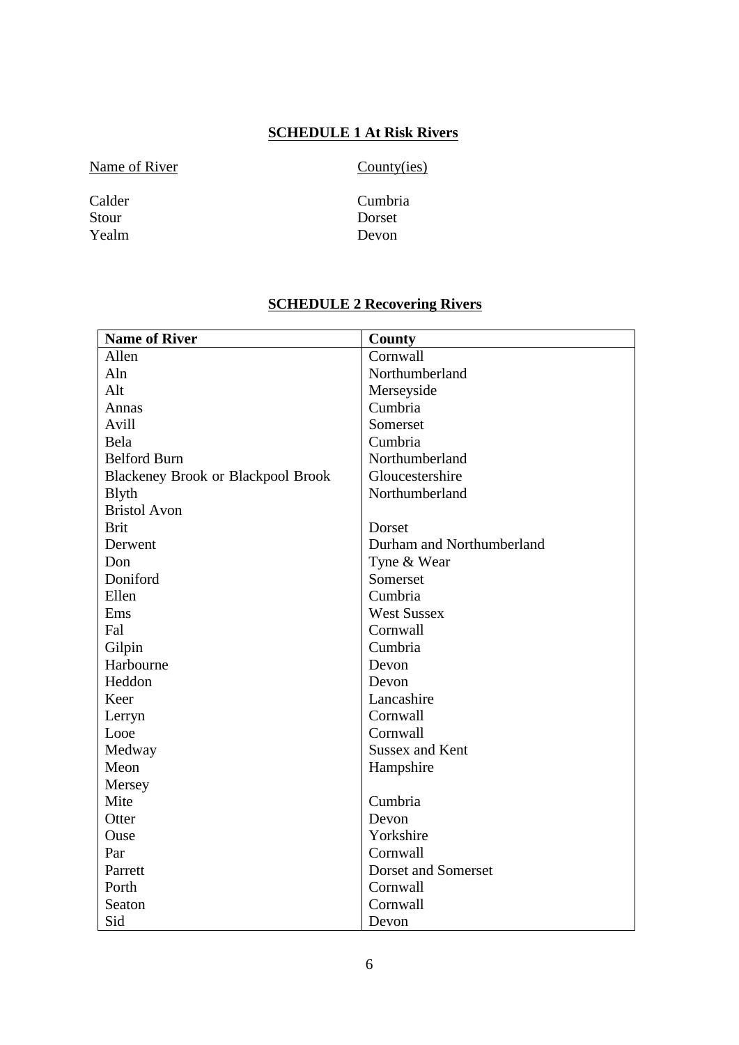# **SCHEDULE 1 At Risk Rivers**

Name of River County(ies)

Yealm

Calder Cumbria<br>Stour Dorset Dorset<br>Devon

# **SCHEDULE 2 Recovering Rivers**

| <b>Name of River</b>                      | County                    |  |
|-------------------------------------------|---------------------------|--|
| Allen                                     | Cornwall                  |  |
| Aln                                       | Northumberland            |  |
| Alt                                       | Merseyside                |  |
| Annas                                     | Cumbria                   |  |
| Avill                                     | Somerset                  |  |
| Bela                                      | Cumbria                   |  |
| <b>Belford Burn</b>                       | Northumberland            |  |
| <b>Blackeney Brook or Blackpool Brook</b> | Gloucestershire           |  |
| <b>B</b> lyth                             | Northumberland            |  |
| <b>Bristol Avon</b>                       |                           |  |
| <b>Brit</b>                               | Dorset                    |  |
| Derwent                                   | Durham and Northumberland |  |
| Don                                       | Tyne & Wear               |  |
| Doniford                                  | Somerset                  |  |
| Ellen                                     | Cumbria                   |  |
| Ems                                       | <b>West Sussex</b>        |  |
| Fal                                       | Cornwall                  |  |
| Gilpin                                    | Cumbria                   |  |
| Harbourne                                 | Devon                     |  |
| Heddon                                    | Devon                     |  |
| Keer                                      | Lancashire                |  |
| Lerryn                                    | Cornwall                  |  |
| Looe                                      | Cornwall                  |  |
| Medway                                    | <b>Sussex and Kent</b>    |  |
| Meon                                      | Hampshire                 |  |
| Mersey                                    |                           |  |
| Mite                                      | Cumbria                   |  |
| Otter                                     | Devon                     |  |
| Ouse                                      | Yorkshire                 |  |
| Par                                       | Cornwall                  |  |
| Parrett                                   | Dorset and Somerset       |  |
| Porth                                     | Cornwall                  |  |
| Seaton                                    | Cornwall                  |  |
| Sid                                       | Devon                     |  |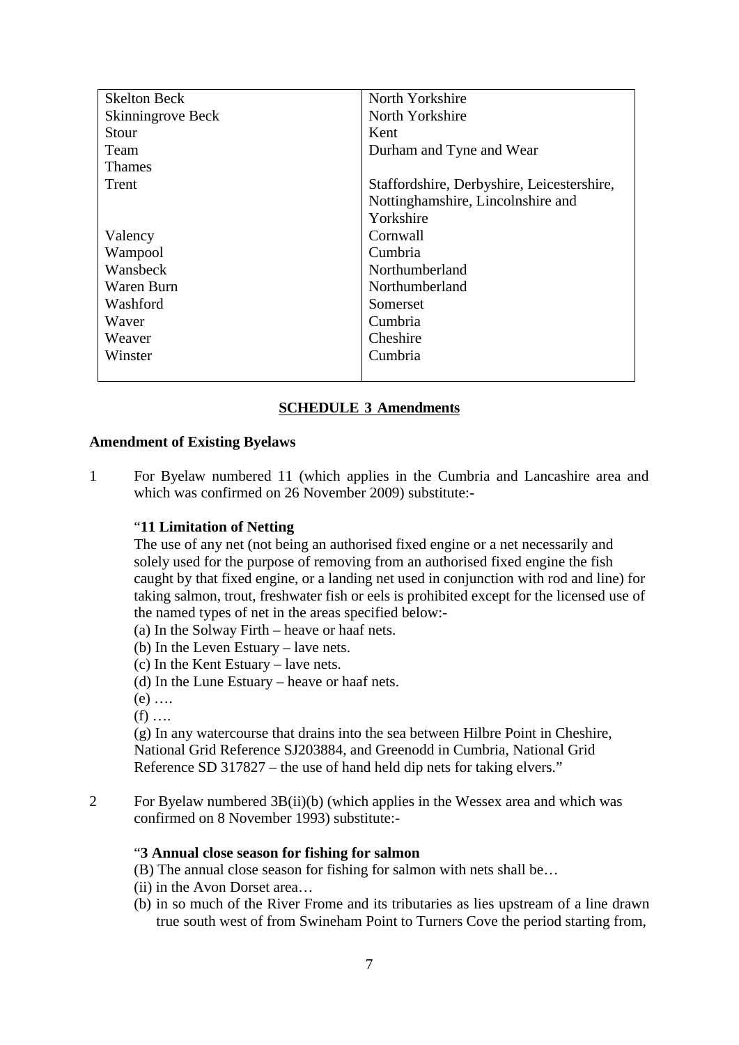| <b>Skelton Beck</b> | North Yorkshire                            |  |
|---------------------|--------------------------------------------|--|
| Skinningrove Beck   | North Yorkshire                            |  |
| Stour               | Kent                                       |  |
| Team                | Durham and Tyne and Wear                   |  |
| <b>Thames</b>       |                                            |  |
| Trent               | Staffordshire, Derbyshire, Leicestershire, |  |
|                     | Nottinghamshire, Lincolnshire and          |  |
|                     | Yorkshire                                  |  |
| Valency             | Cornwall                                   |  |
| Wampool             | Cumbria                                    |  |
| Wansbeck            | Northumberland                             |  |
| Waren Burn          | Northumberland                             |  |
| Washford            | Somerset                                   |  |
| Waver               | Cumbria                                    |  |
| Weaver              | Cheshire                                   |  |
| Winster             | Cumbria                                    |  |
|                     |                                            |  |

# **SCHEDULE 3 Amendments**

#### **Amendment of Existing Byelaws**

1 For Byelaw numbered 11 (which applies in the Cumbria and Lancashire area and which was confirmed on 26 November 2009) substitute:-

#### "**11 Limitation of Netting**

The use of any net (not being an authorised fixed engine or a net necessarily and solely used for the purpose of removing from an authorised fixed engine the fish caught by that fixed engine, or a landing net used in conjunction with rod and line) for taking salmon, trout, freshwater fish or eels is prohibited except for the licensed use of the named types of net in the areas specified below:-

- (a) In the Solway Firth heave or haaf nets.
- (b) In the Leven Estuary lave nets.
- (c) In the Kent Estuary lave nets.
- (d) In the Lune Estuary heave or haaf nets.
- $(e)$  ....
- $(f)$  ...

(g) In any watercourse that drains into the sea between Hilbre Point in Cheshire, National Grid Reference SJ203884, and Greenodd in Cumbria, National Grid Reference SD 317827 – the use of hand held dip nets for taking elvers."

2 For Byelaw numbered 3B(ii)(b) (which applies in the Wessex area and which was confirmed on 8 November 1993) substitute:-

#### "**3 Annual close season for fishing for salmon**

- (B) The annual close season for fishing for salmon with nets shall be…
- (ii) in the Avon Dorset area…
- (b) in so much of the River Frome and its tributaries as lies upstream of a line drawn true south west of from Swineham Point to Turners Cove the period starting from,